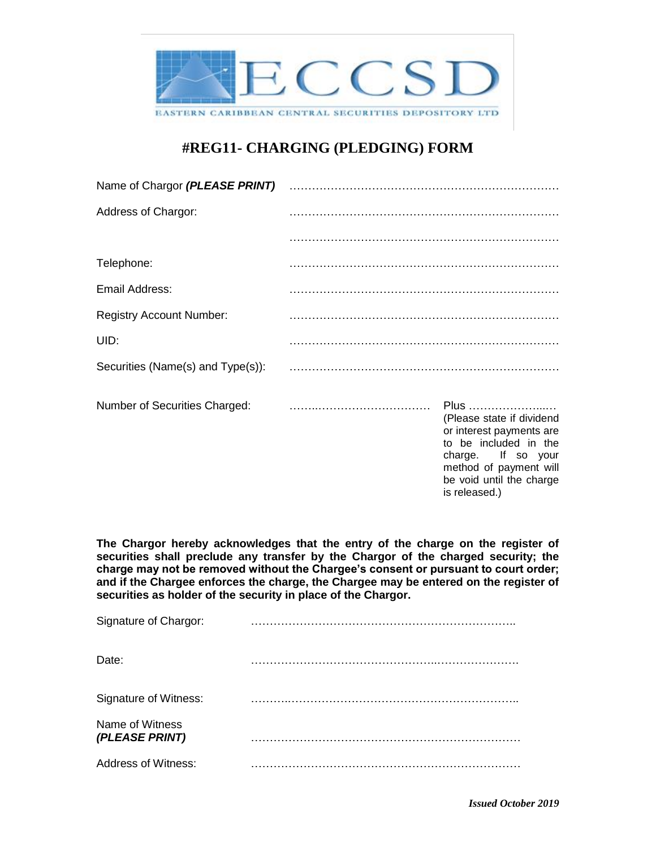

## **#REG11- CHARGING (PLEDGING) FORM**

| Name of Chargor (PLEASE PRINT)    |  |                                                                                                                                                                    |  |
|-----------------------------------|--|--------------------------------------------------------------------------------------------------------------------------------------------------------------------|--|
| Address of Chargor:               |  |                                                                                                                                                                    |  |
|                                   |  |                                                                                                                                                                    |  |
| Telephone:                        |  |                                                                                                                                                                    |  |
| Email Address:                    |  |                                                                                                                                                                    |  |
| <b>Registry Account Number:</b>   |  |                                                                                                                                                                    |  |
| UID:                              |  |                                                                                                                                                                    |  |
| Securities (Name(s) and Type(s)): |  |                                                                                                                                                                    |  |
| Number of Securities Charged:     |  | Plus<br>(Please state if dividend<br>or interest payments are<br>to be included in the<br>charge. If so your<br>method of payment will<br>be void until the charge |  |

**The Chargor hereby acknowledges that the entry of the charge on the register of securities shall preclude any transfer by the Chargor of the charged security; the charge may not be removed without the Chargee's consent or pursuant to court order; and if the Chargee enforces the charge, the Chargee may be entered on the register of securities as holder of the security in place of the Chargor.**

| Signature of Chargor:             |  |
|-----------------------------------|--|
| Date:                             |  |
| Signature of Witness:             |  |
| Name of Witness<br>(PLEASE PRINT) |  |
| <b>Address of Witness:</b>        |  |

is released.)